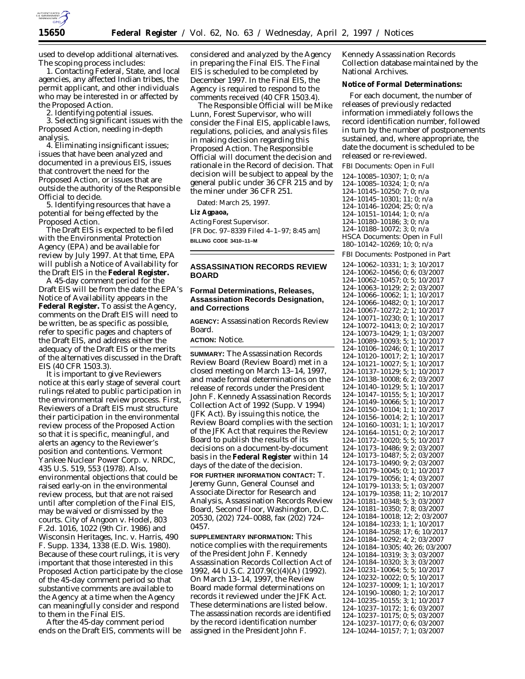

used to develop additional alternatives. The scoping process includes:

1. Contacting Federal, State, and local agencies, any affected Indian tribes, the permit applicant, and other individuals who may be interested in or affected by the Proposed Action.

2. Identifying potential issues.

3. Selecting significant issues with the Proposed Action, needing in-depth analysis.

4. Eliminating insignificant issues; issues that have been analyzed and documented in a previous EIS, issues that controvert the need for the Proposed Action, or issues that are outside the authority of the Responsible Official to decide.

5. Identifying resources that have a potential for being effected by the Proposed Action.

The Draft EIS is expected to be filed with the Environmental Protection Agency (EPA) and be available for review by July 1997. At that time, EPA will publish a Notice of Availability for the Draft EIS in the **Federal Register.**

A 45-day comment period for the Draft EIS will be from the date the EPA's Notice of Availability appears in the **Federal Register.** To assist the Agency, comments on the Draft EIS will need to be written, be as specific as possible, refer to specific pages and chapters of the Draft EIS, and address either the adequacy of the Draft EIS or the merits of the alternatives discussed in the Draft EIS (40 CFR 1503.3).

It is important to give Reviewers notice at this early stage of several court rulings related to public participation in the environmental review process. First, Reviewers of a Draft EIS *must* structure their participation in the environmental review process of the Proposed Action so that it is specific, meaningful, and alerts an agency to the Reviewer's position and contentions. *Vermont Yankee Nuclear Power Corp.* v. *NRDC,* 435 U.S. 519, 553 (1978). Also, environmental objections that could be raised early-on in the environmental review process, but that are not raised until after completion of the Final EIS, may be waived or dismissed by the courts. *City of Angoon* v. *Hodel*, 803 F.2d. 1016, 1022 (9th Cir. 1986) and *Wisconsin Heritages, Inc.* v. *Harris*, 490 F. Supp. 1334, 1338 (E.D. Wis. 1980). Because of these court rulings, it is very important that those interested in this Proposed Action participate by the close of the 45-day comment period so that substantive comments are available to the Agency at a time when the Agency can meaningfully consider and respond to them in the Final EIS.

After the 45-day comment period ends on the Draft EIS, comments will be

considered and analyzed by the Agency in preparing the Final EIS. The Final EIS is scheduled to be completed by December 1997. In the Final EIS, the Agency is required to respond to the comments received (40 CFR 1503.4).

The Responsible Official will be Mike Lunn, Forest Supervisor, who will consider the Final EIS, applicable laws, regulations, policies, and analysis files in making decision regarding this Proposed Action. The Responsible Official will document the decision and rationale in the Record of decision. That decision will be subject to appeal by the general public under 36 CFR 215 and by the miner under 36 CFR 251.

Dated: March 25, 1997.

#### **Liz Agpaoa,**

*Acting Forest Supervisor.* [FR Doc. 97–8339 Filed 4–1–97; 8:45 am] **BILLING CODE 3410–11–M**

## **ASSASSINATION RECORDS REVIEW BOARD**

# **Formal Determinations, Releases, Assassination Records Designation, and Corrections**

**AGENCY:** Assassination Records Review Board.

**ACTION:** Notice.

**SUMMARY:** The Assassination Records Review Board (Review Board) met in a closed meeting on March 13–14, 1997, and made formal determinations on the release of records under the President John F. Kennedy Assassination Records Collection Act of 1992 (Supp. V 1994) (JFK Act). By issuing this notice, the Review Board complies with the section of the JFK Act that requires the Review Board to publish the results of its decisions on a document-by-document basis in the **Federal Register** within 14 days of the date of the decision.

**FOR FURTHER INFORMATION CONTACT:** T. Jeremy Gunn, General Counsel and Associate Director for Research and Analysis, Assassination Records Review Board, Second Floor, Washington, D.C. 20530, (202) 724–0088, fax (202) 724– 0457.

**SUPPLEMENTARY INFORMATION:** This notice complies with the requirements of the President John F. Kennedy Assassination Records Collection Act of 1992, 44 U.S.C. 2107.9(c)(4)(A) (1992). On March 13–14, 1997, the Review Board made formal determinations on records it reviewed under the JFK Act. These determinations are listed below. The assassination records are identified by the record identification number assigned in the President John F.

Kennedy Assassination Records Collection database maintained by the National Archives.

### **Notice of Formal Determinations:**

For each document, the number of releases of previously redacted information immediately follows the record identification number, followed in turn by the number of postponements sustained, and, where appropriate, the date the document is scheduled to be released or re-reviewed.

FBI Documents: Open in Full

124–10085–10307; 1; 0; n/a 124–10085–10324; 1; 0; n/a 124–10145–10250; 7; 0; n/a 124–10145–10301; 11; 0; n/a 124–10146–10204; 25; 0; n/a 124–10151–10144; 1; 0; n/a 124–10180–10186; 3; 0; n/a 124–10188–10072; 3; 0; n/a HSCA Documents: Open in Full 180–10142–10269; 10; 0; n/a

FBI Documents: Postponed in Part

124–10062–10331; 1; 3; 10/2017 124–10062–10456; 0; 6; 03/2007 124–10062–10457; 0; 5; 10/2017 124–10063–10129; 2; 2; 03/2007 124–10066–10062; 1; 1; 10/2017 124–10066–10482; 0; 1; 10/2017 124–10067–10272; 2; 1; 10/2017 124–10071–10230; 0; 1; 10/2017 124–10072–10413; 0; 2; 10/2017 124–10073–10429; 1; 1; 03/2007 124–10089–10093; 5; 1; 10/2017 124–10106–10246; 0; 1; 10/2017 124–10120–10017; 2; 1; 10/2017 124–10121–10027; 5; 1; 10/2017 124–10137–10129; 5; 1; 10/2017 124–10138–10008; 6; 2; 03/2007 124–10140–10129; 5; 1; 10/2017 124–10147–10155; 5; 1; 10/2017 124–10149–10066; 5; 1; 10/2017 124–10150–10104; 1; 1; 10/2017 124–10156–10014; 2; 1; 10/2017 124–10160–10031; 1; 1; 10/2017 124–10164–10151; 0; 2; 10/2017 124–10172–10020; 5; 5; 10/2017 124–10173–10486; 9; 2; 03/2007 124–10173–10487; 5; 2; 03/2007 124–10173–10490; 9; 2; 03/2007 124–10179–10045; 0; 1; 10/2017 124–10179–10056; 1; 4; 03/2007 124–10179–10133; 5; 1; 03/2007 124–10179–10358; 11; 2; 10/2017 124–10181–10348; 5; 3; 03/2007 124–10181–10350; 7; 8; 03/2007 124–10184–10018; 12; 2; 03/2007 124–10184–10233; 1; 1; 10/2017 124–10184–10258; 17; 6; 10/2017 124–10184–10292; 4; 2; 03/2007 124–10184–10305; 40; 26; 03/2007 124–10184–10319; 3; 3; 03/2007 124–10184–10320; 3; 3; 03/2007 124–10231–10064; 5; 5; 10/2017 124–10232–10022; 0; 5; 10/2017 124–10237–10009; 1; 1; 10/2017 124–10190–10080; 1; 2; 10/2017 124–10235–10155; 3; 1; 10/2017 124–10237–10172; 1; 6; 03/2007 124–10237–10175; 0; 5; 03/2007 124–10237–10177; 0; 6; 03/2007 124–10244–10157; 7; 1; 03/2007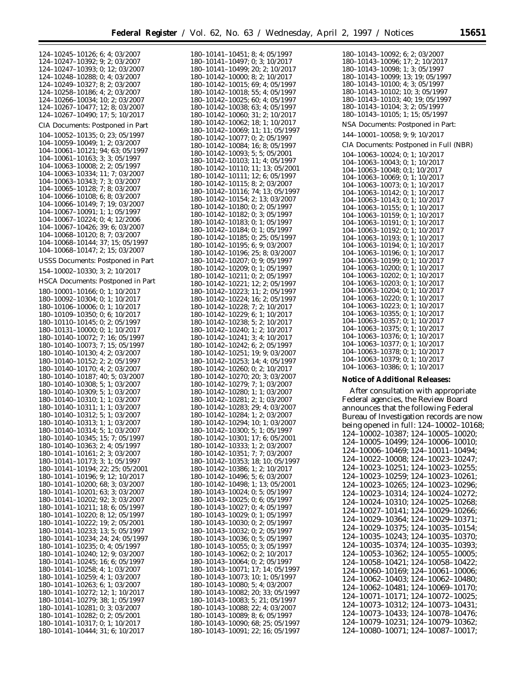۰

| 124-10245-10126; 6; 4; 03/2007<br>124-10247-10392; 9; 2; 03/2007                                           |
|------------------------------------------------------------------------------------------------------------|
|                                                                                                            |
|                                                                                                            |
|                                                                                                            |
| 124-10247-10393; 0; 12; 03/2007                                                                            |
| 124-10248-10288; 0; 4; 03/2007                                                                             |
| 124-10249-10327; 8; 2; 03/2007                                                                             |
| $124-10258-10186; 4; 2; 03/2007$<br>$124-10266-10034; 10; 2; 03/2007$<br>$124-10267-10477; 12; 8; 03/2007$ |
|                                                                                                            |
|                                                                                                            |
|                                                                                                            |
| $124 - 10267 - 10490$ ; 17; 5; 10/2017                                                                     |
|                                                                                                            |
| CIA Documents: Postponed in Part                                                                           |
| 104-10052-10135; 0; 23; 05/1997                                                                            |
| 104-10059-10049; 1; 2; 03/2007                                                                             |
|                                                                                                            |
| 104-10061-10121; 94; 63; 05/1997                                                                           |
| 104-10061-10163; 3; 3; 05/1997                                                                             |
| $104-10063-10008; 2; 2; 05/1997$                                                                           |
| 104-10063-10334; 11; 7; 03/2007                                                                            |
|                                                                                                            |
| 104-10063-10343; 7; 3; 03/2007<br>104-10065-10128; 7; 8; 03/2007                                           |
|                                                                                                            |
|                                                                                                            |
| 104-10066-10108; 6; 8; 03/2007<br>104-10066-10149; 7; 19; 03/2007                                          |
| 104-10067-10091; 1; 1; 05/1997                                                                             |
| 104-10067-10224; 0; 4; 12/2006                                                                             |
|                                                                                                            |
| 104-10067-10426; 39; 6; 03/2007                                                                            |
| 104-10068-10120; 8; 7; 03/2007                                                                             |
| 104-10068-10144; 37; 15; 05/1997                                                                           |
| 104-10068-10147; 2; 15; 03/2007                                                                            |
|                                                                                                            |
| <b>USSS Documents: Postponed in Part</b>                                                                   |
|                                                                                                            |
| 154-10002-10330; 3; 2; 10/2017                                                                             |
| HSCA Documents: Postponed in Part                                                                          |
|                                                                                                            |
| 180-10001-10166; 0; 1; 10/2017                                                                             |
|                                                                                                            |
| 180-10092-10304; 0; 1; 10/2017<br>180-10106-10006; 0; 1; 10/2017                                           |
| 180-10109-10350; 0; 6; 10/2017                                                                             |
| 180-10110-10145; 0; 2; 05/1997                                                                             |
| 180-10131-10000; 0; 1; 10/2017                                                                             |
| 180-10140-10072; 7; 16; 05/1997                                                                            |
| 180-10140-10073; 7; 15; 05/1997                                                                            |
|                                                                                                            |
|                                                                                                            |
| 180-10140-10130; 4; 2; 03/2007                                                                             |
| 180-10140-10152; 2; 2; 05/1997                                                                             |
| 180-10140-10170; 4; 2; 03/2007                                                                             |
|                                                                                                            |
| 180-10140-10187; 40; 5; 03/2007                                                                            |
| 180-10140-10308; 5; 1; 03/2007                                                                             |
| 180-10140-10309; 5; 1; 03/2007                                                                             |
| 180-10140-10310; 1; 1; 03/2007                                                                             |
|                                                                                                            |
| 180-10140-10311; 1; 1; 03/2007<br>180-10140-10312; 5; 1; 03/2007                                           |
| 180-10140-10313; 1; 1; 03/2007                                                                             |
|                                                                                                            |
| 180-10140-10314; 5; 1; 03/2007                                                                             |
| 180-10140-10345; 15; 7; 05/1997                                                                            |
| 180-10140-10363; 2; 4; 05/1997                                                                             |
| 180-10141-10161; 2; 3; 03/2007                                                                             |
| 180-10141-10173; 3; 1; 05/1997                                                                             |
| 180-10141-10194; 22; 25; 05/2001                                                                           |
| 180-10141-10196; 9; 12; 10/2017                                                                            |
|                                                                                                            |
| 180-10141-10200; 68; 3; 03/2007                                                                            |
| 180-10141-10201; 63; 3; 03/2007                                                                            |
| 180-10141-10202; 92; 3; 03/2007                                                                            |
| 180-10141-10211; 18; 6; 05/1997                                                                            |
| 180-10141-10220; 8; 12; 05/1997                                                                            |
| 180-10141-10222; 19; 2; 05/2001                                                                            |
|                                                                                                            |
| 180-10141-10233; 13; 5; 05/1997<br>180-10141-10234; 24; 24; 05/1997                                        |
|                                                                                                            |
| 180-10141-10235; 0; 4; 05/1997                                                                             |
| 180-10141-10240; 12; 9; 03/2007                                                                            |
| 180-10141-10245; 16; 6; 05/1997                                                                            |
| 180-10141-10258; 4; 1; 03/2007                                                                             |
| 180-10141-10259; 4; 1; 03/2007                                                                             |
| 180-10141-10263; 6; 1; 03/2007                                                                             |
|                                                                                                            |
| 180-10141-10272; 12; 1; 10/2017                                                                            |
| 180-10141-10279; 38; 1; 05/1997                                                                            |
| 180-10141-10281; 0; 3; 03/2007                                                                             |
| 180-10141-10282; 0; 2; 05/2001                                                                             |
| 180-10141-10317; 0; 1; 10/2017<br>180-10141-10444; 31; 6; 10/2017                                          |

| 180-10141-10451; 8; 4; 05/1997                                                                                                                                                                                                                 |
|------------------------------------------------------------------------------------------------------------------------------------------------------------------------------------------------------------------------------------------------|
|                                                                                                                                                                                                                                                |
| $180-10141-10497$ ; 0; 3; $10/2017$<br>$180-10141-10499$ ; 20; 2; $10/2017$                                                                                                                                                                    |
| $180-10142-10000$ ; 8; 2; $10/2017$<br>$180-10142-10015$ ; 69; 4; 05/1997                                                                                                                                                                      |
|                                                                                                                                                                                                                                                |
| $180-10142-10018$ ; 55; 4; 05/1997<br>180-10142-10025; 60; 4; 05/1997                                                                                                                                                                          |
|                                                                                                                                                                                                                                                |
| $180-10142-10038$ ; 63; 4; 05/1997<br>180-10142-10060; 31; 2; 10/2017                                                                                                                                                                          |
|                                                                                                                                                                                                                                                |
|                                                                                                                                                                                                                                                |
| $180-10142-10062; 18; 1; 10/2017$<br>$180-10142-10069; 11; 11; 05/1997$                                                                                                                                                                        |
|                                                                                                                                                                                                                                                |
| 180-10142-10077; 0; 2; 05/1997                                                                                                                                                                                                                 |
| 180-10142-10084; 16; 8; 05/1997                                                                                                                                                                                                                |
| 180-10142-10093; 5; 5; 05/2001                                                                                                                                                                                                                 |
|                                                                                                                                                                                                                                                |
| $180-10142-10103; 11; 4; 05/1997$<br>$180-10142-10110; 11; 13; 05/2001$<br>$180-10142-10111; 12; 6; 05/1997$                                                                                                                                   |
|                                                                                                                                                                                                                                                |
| $180-10142-10115; 8; 2; 03/2007$<br>$180-10142-10115; 8; 2; 03/2007$<br>$180-10142-10154; 2; 13; 03/2007$<br>$180-10142-10180; 0; 2; 05/1997$                                                                                                  |
|                                                                                                                                                                                                                                                |
|                                                                                                                                                                                                                                                |
|                                                                                                                                                                                                                                                |
| $180-10142-10182; 0; 3; 05/1997$<br>$180-10142-10182; 0; 3; 05/1997$<br>$180-10142-10184; 0; 1; 05/1997$<br>$180-10142-10185; 0; 25; 05/1997$                                                                                                  |
|                                                                                                                                                                                                                                                |
|                                                                                                                                                                                                                                                |
|                                                                                                                                                                                                                                                |
|                                                                                                                                                                                                                                                |
|                                                                                                                                                                                                                                                |
|                                                                                                                                                                                                                                                |
| $180-10142-10195; 6; 9; 03/2007\n180-10142-10196; 25; 8; 03/2007\n180-10142-10207; 0; 9; 05/1997\n180-10142-10209; 0; 1; 05/1997$                                                                                                              |
|                                                                                                                                                                                                                                                |
|                                                                                                                                                                                                                                                |
| $180-10142-10203$ , 0, 1, 0, 2; 05/1997<br>$180-10142-10211;$ 0; 2; 05/1997<br>$180-10142-10221;$ 12; 2; 05/1997<br>$180-10142-10223;$ 11; 2; 05/1997<br>$180-10142-10224;$ 16; 2; 05/1997                                                     |
|                                                                                                                                                                                                                                                |
|                                                                                                                                                                                                                                                |
| $180-10142-10228$ ; 7; 2; 10/2017<br>180-10142-10229; 6; 1; 10/2017                                                                                                                                                                            |
|                                                                                                                                                                                                                                                |
|                                                                                                                                                                                                                                                |
|                                                                                                                                                                                                                                                |
|                                                                                                                                                                                                                                                |
|                                                                                                                                                                                                                                                |
| $180-10142-10223, 0, 1, 10/2017$ $180-10142-10238, 5, 2, 10/2017$ $180-10142-10241, 3, 4, 10/2017$ $180-10142-10242, 6, 2, 05/1997$                                                                                                            |
|                                                                                                                                                                                                                                                |
| $180-10142-10251$ ; 19; 9; 03/2007<br>180-10142-10253; 14; 4; 05/1997                                                                                                                                                                          |
| $180-10142-10260; 0; 2; 10/2017$<br>$180-10142-10270; 20; 3; 03/2007$                                                                                                                                                                          |
|                                                                                                                                                                                                                                                |
| $180-10142-10279; 7; 1; 03/2007$<br>$180-10142-10280; 1; 1; 03/2007$                                                                                                                                                                           |
|                                                                                                                                                                                                                                                |
| $180 - 10142 - 10281$ ; 2; 1; 03/2007<br>180-10142-10283; 29; 4; 03/2007                                                                                                                                                                       |
|                                                                                                                                                                                                                                                |
| $180-10142-10284; 1; 2; 03/2007$<br>180-10142-10294; 10; 1; 03/2007<br>180-10142-10300; 5; 1; 0.5/1997<br>180-10142-10300; 5; 1; 0.67/9001                                                                                                     |
|                                                                                                                                                                                                                                                |
|                                                                                                                                                                                                                                                |
|                                                                                                                                                                                                                                                |
| 17; 6; 05/2001                                                                                                                                                                                                                                 |
| $180-10142-10294; \ 180-10142-10300; \ 180-10142-10301; \ 180-10142-10333; \ 180-10142-10353; \ 180-10142-10358; \ 180-10142-10386; \$<br>1; 2; 03/2007<br>7; 7; 03/2007                                                                       |
|                                                                                                                                                                                                                                                |
| 18; 10; 05/1997                                                                                                                                                                                                                                |
| 1; 2; 10/2017                                                                                                                                                                                                                                  |
| $180-10142-10360,$<br>$180-10142-10496;$<br>$180-10143-10024;$<br>$180-10143-10025;$<br>5; 6; 03/2007                                                                                                                                          |
| 1;<br>13; 05/2001                                                                                                                                                                                                                              |
| 0: 5: 05/1997                                                                                                                                                                                                                                  |
| 0; 6; 05/1997                                                                                                                                                                                                                                  |
|                                                                                                                                                                                                                                                |
|                                                                                                                                                                                                                                                |
|                                                                                                                                                                                                                                                |
| $180-10143-10027$ ; 0; 4; 05/1997<br>$180-10143-10027$ ; 0; 4; 05/1997<br>$180-10143-10029$ ; 0; 1; 05/1997<br>$180-10143-10030$ ; 0; 2; 05/1997<br>$180-10143-10032$ ; 0; 2; 05/1997                                                          |
|                                                                                                                                                                                                                                                |
| $180-10143-10032$ ; 0, 2, 03/1997<br>$180-10143-10036$ ; 0; 5; 05/1997<br>$180-10143-10055$ ; 0; 3; 05/1997<br>$180-10143-10062$ ; 0; 2; 05/1997<br>$180-10143-10064$ ; 0; 2; 05/1997                                                          |
|                                                                                                                                                                                                                                                |
|                                                                                                                                                                                                                                                |
|                                                                                                                                                                                                                                                |
| $180 - 10143 - 10071$ ;<br>180-10143-10073;<br>$17; 14; 05/1997$ $10; 1; 05/1997$                                                                                                                                                              |
|                                                                                                                                                                                                                                                |
|                                                                                                                                                                                                                                                |
| $180-10143-10080$ ; 5; 4; 03/2007<br>180-10143-10082; 20; 33; 05/1997                                                                                                                                                                          |
|                                                                                                                                                                                                                                                |
|                                                                                                                                                                                                                                                |
|                                                                                                                                                                                                                                                |
|                                                                                                                                                                                                                                                |
|                                                                                                                                                                                                                                                |
| $180-10143-10083$ ; $50, 35, 05/1997$<br>$180-10143-10083$ ; $52; 4; 05/1997$<br>$180-10143-10088$ ; $22; 4; 03/2007$<br>$180-10143-10090$ ; $68; 25; 05/1997$<br>$180-10143-10090$ ; $68; 25; 05/1997$<br>$180-10143-10091$ ; $22; 16; 05/19$ |

| 180–10143–10092; 6; 2; 03/2007              |
|---------------------------------------------|
| 180-10143-10096; 17; 2; 10/2017             |
| 180-10143-10098; 1; 3; 05/1997              |
| 180-10143-10099; 13; 19; 05/1997            |
| 180-10143-10100; 4; 3; 05/1997              |
| 180-10143-10102; 10; 3; 05/1997             |
| 180-10143-10103; 40; 19; 05/1997            |
| 180-10143-10104; 3; 2; 05/1997              |
|                                             |
| 180-10143-10105; 1; 15; 05/1997             |
| NSA Documents: Postponed in Part:           |
| 144-10001-10058; 9; 9; 10/2017              |
|                                             |
| CIA Documents: Postponed in Full (NBR)      |
| 104-10063-10024; 0; 1; 10/2017              |
| 104-10063-10043; 0; 1; 10/2017              |
| 104-10063-10048; 0;1; 10/2017               |
| 104-10063-10069; 0; 1; 10/2017              |
| 104-10063-10073; 0; 1; 10/2017              |
| 104-10063-10142; 0; 1; 10/2017              |
| 104-10063-10143; 0; 1; 10/2017              |
|                                             |
| 104-10063-10155; 0; 1; 10/2017              |
| 104-10063-10159; 0; 1; 10/2017              |
| 104-10063-10191; 0; 1; 10/2017              |
| 104-10063-10192; 0; 1; 10/2017              |
| 104-10063-10193; 0; 1; 10/2017              |
| 104-10063-10194; 0; 1; 10/2017              |
| 104-10063-10196; 0; 1; 10/2017              |
| 104-10063-10199; 0; 1; 10/2017              |
| 104-10063-10200; 0; 1; 10/2017              |
| 104-10063-10202; 0; 1; 10/2017              |
| 104-10063-10203; 0; 1; 10/2017              |
| 104-10063-10204; 0; 1; 10/2017              |
| 104-10063-10220; 0; 1; 10/2017              |
| 104-10063-10223; 0; 1; 10/2017              |
| 104-10063-10355; 0; 1; 10/2017              |
| 104-10063-10357; 0; 1; 10/2017              |
| 104-10063-10375; 0; 1; 10/2017              |
|                                             |
|                                             |
| 104-10063-10376; 0; 1; 10/2017              |
| 104-10063-10377; 0; 1; 10/2017              |
| 104-10063-10378; 0; 1; 10/2017              |
| 104-10063-10379; 0; 1; 10/2017              |
| 104-10063-10386; 0; 1; 10/2017              |
|                                             |
| <b>Notice of Additional Releases:</b>       |
|                                             |
| After consultation with appropriate         |
| Federal agencies, the Review Board          |
| announces that the following Federal        |
| Bureau of Investigation records are now     |
| being opened in full: 124-10002-10168;      |
|                                             |
| 124-10002-10387; 124-10005-10020;           |
| 124–10005–10499; 124–10006–10010;           |
| 124-10006-10469;<br>$124 - 10011 - 10494$ ; |
| 124-10022-10008;<br>124-10023-10247;        |
| 124-10023-10251;<br>124-10023-10255;        |
|                                             |
| 124-10023-10259;<br>124-10023-10261;        |
| 124-10023-10265;<br>124-10023-10296;        |
| 124-10023-10314;<br>124-10024-10272;        |
| 124-10024-10310;<br>124-10025-10268;        |
| 124-10027-10141;<br>124-10029-10266;        |
| 124-10029-10364;<br>124-10029-10371;        |
|                                             |
| 124-10029-10375;<br>124-10035-10154;        |
| 124-10035-10243;<br>124-10035-10370;        |
| 124-10035-10374;<br>124-10035-10393;        |
| 124-10053-10362;<br>124-10055-10005;        |
| $124 - 10058 - 10421$ ;<br>124-10058-10422; |
| 124-10060-10169;<br>124-10061-10006;        |
|                                             |
| 124-10062-10403;<br>124-10062-10480;        |
| 124-10062-10481;<br>124-10069-10170;        |
| 124-10071-10171;<br>124-10072-10025;        |
| 124-10073-10312;<br>$124 - 10073 - 10431$ ; |
| 124-10073-10433;<br>124-10078-10476;        |
| 124-10079-10231; 124-10079-10362;           |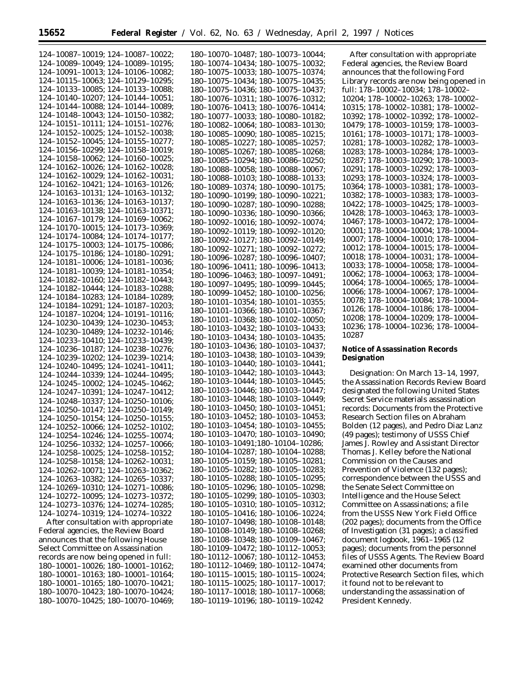| 124-10087-10019; 124-10087-10022;                                       | 180-10070-10487; 180-10073-10044;                                      |
|-------------------------------------------------------------------------|------------------------------------------------------------------------|
| 124-10089-10049; 124-10089-10195;                                       | 180-10074-10434; 180-10075-10032;                                      |
| 124-10091-10013; 124-10106-10082;                                       | 180-10075-10033; 180-10075-10374;                                      |
| 124-10115-10063; 124-10129-10295;                                       | 180-10075-10434; 180-10075-10435;                                      |
| 124-10133-10085; 124-10133-10088;                                       | 180-10075-10436; 180-10075-10437;                                      |
| 124-10140-10207; 124-10144-10051;                                       | 180-10076-10311; 180-10076-10312;                                      |
| 124-10144-10088; 124-10144-10089;                                       | 180-10076-10413; 180-10076-10414;                                      |
| 124-10148-10043; 124-10150-10382;                                       | 180-10077-10033; 180-10080-10182;                                      |
| 124-10151-10111; 124-10151-10276;                                       | 180-10082-10064; 180-10083-10130;                                      |
| 124-10152-10025; 124-10152-10038;                                       | 180-10085-10090; 180-10085-10215;                                      |
| 124-10152-10045; 124-10155-10277;<br>124-10156-10299; 124-10158-10019;  | 180-10085-10227; 180-10085-10257;                                      |
| 124-10158-10062; 124-10160-10025;                                       | 180-10085-10267; 180-10085-10268;                                      |
| 124-10162-10026; 124-10162-10028;                                       | 180-10085-10294; 180-10086-10250;                                      |
| 124-10162-10029; 124-10162-10031;                                       | 180-10088-10058; 180-10088-10067;<br>180-10088-10103; 180-10088-10133; |
| 124-10162-10421; 124-10163-10126;                                       | 180-10089-10374; 180-10090-10175;                                      |
| 124-10163-10131; 124-10163-10132;                                       | 180-10090-10199; 180-10090-10221;                                      |
| 124-10163-10136; 124-10163-10137;                                       | 180-10090-10287; 180-10090-10288;                                      |
| 124-10163-10138; 124-10163-10371;                                       | 180-10090-10336; 180-10090-10366;                                      |
| 124-10167-10179; 124-10169-10062;                                       | 180-10092-10016; 180-10092-10074;                                      |
| 124-10170-10015; 124-10173-10369;                                       | 180-10092-10119; 180-10092-10120;                                      |
| 124-10174-10084; 124-10174-10177;                                       | 180-10092-10127; 180-10092-10149;                                      |
| 124-10175-10003; 124-10175-10086;                                       | 180-10092-10271; 180-10092-10272;                                      |
| 124-10175-10186; 124-10180-10291;                                       | 180-10096-10287; 180-10096-10407;                                      |
| 124-10181-10006; 124-10181-10036;<br>124-10181-10039; 124-10181-10354;  | 180-10096-10411; 180-10096-10413;                                      |
| 124-10182-10160; 124-10182-10443;                                       | 180-10096-10463; 180-10097-10491;                                      |
| 124-10182-10444; 124-10183-10288;                                       | 180-10097-10495; 180-10099-10445;                                      |
| 124-10184-10283; 124-10184-10289;                                       | 180-10099-10452; 180-10100-10256;                                      |
| 124-10184-10291; 124-10187-10203;                                       | 180-10101-10354; 180-10101-10355;                                      |
| 124-10187-10204; 124-10191-10116;                                       | 180-10101-10366; 180-10101-10367;                                      |
| 124-10230-10439; 124-10230-10453;                                       | 180-10101-10368; 180-10102-10050;                                      |
| 124-10230-10489; 124-10232-10146;                                       | 180-10103-10432; 180-10103-10433;                                      |
| 124-10233-10410; 124-10233-10439;                                       | 180-10103-10434; 180-10103-10435;                                      |
| 124-10236-10187; 124-10238-10276;                                       | 180-10103-10436; 180-10103-10437;<br>180-10103-10438; 180-10103-10439; |
| 124-10239-10202; 124-10239-10214;                                       | 180-10103-10440; 180-10103-10441;                                      |
| 124-10240-10495; 124-10241-10411;                                       | 180-10103-10442; 180-10103-10443;                                      |
| 124-10244-10339; 124-10244-10495;                                       | 180-10103-10444; 180-10103-10445;                                      |
| 124-10245-10002; 124-10245-10462;                                       | 180-10103-10446; 180-10103-10447;                                      |
| 124-10247-10391; 124-10247-10412;<br>124-10248-10337; 124-10250-10106;  | 180-10103-10448; 180-10103-10449;                                      |
| 124-10250-10147; 124-10250-10149;                                       | 180-10103-10450; 180-10103-10451;                                      |
| 124-10250-10154; 124-10250-10155;                                       | 180-10103-10452; 180-10103-10453;                                      |
| 124-10252-10066; 124-10252-10102;                                       | 180-10103-10454; 180-10103-10455;                                      |
| 124-10254-10246; 124-10255-10074;                                       | 180-10103-10470; 180-10103-10490;                                      |
| 124-10256-10332; 124-10257-10066;                                       | 180-10103-10491;180-10104-10286;                                       |
| 124-10258-10025; 124-10258-10152;                                       | 180-10104-10287; 180-10104-10288;                                      |
| $124 - 10258 - 10158$ ; $124 - 10262 - 10031$ ;                         | 180-10105-10159; 180-10105-10281;                                      |
| 124-10262-10071; 124-10263-10362;                                       | 180-10105-10282; 180-10105-10283;                                      |
| 124-10263-10382; 124-10265-10337;                                       | 180-10105-10288; 180-10105-10295;                                      |
| 124-10269-10310; 124-10271-10086;                                       | 180-10105-10296; 180-10105-10298;                                      |
| 124-10272-10095; 124-10273-10372;                                       | 180-10105-10299; 180-10105-10303;                                      |
| 124-10273-10376; 124-10274-10285;                                       | 180-10105-10310; 180-10105-10312;                                      |
| 124-10274-10319; 124-10274-10322<br>After consultation with appropriate | 180-10105-10416; 180-10106-10224;<br>180-10107-10498; 180-10108-10148; |
| Federal agencies, the Review Board                                      | 180-10108-10149; 180-10108-10268;                                      |
| announces that the following House                                      | 180-10108-10348; 180-10109-10467;                                      |
| Select Committee on Assassination                                       | 180-10109-10472; 180-10112-10053;                                      |
| records are now being opened in full:                                   | 180-10112-10067; 180-10112-10453;                                      |
| 180-10001-10026: 180-10001-10162:                                       | 180-10112-10469; 180-10112-10474;                                      |

180–10001–10163; 180–10001–10164; 180–10001–10165; 180–10070–10421; 180–10070–10423; 180–10070–10424; 180–10070–10425; 180–10070–10469;

180–10074–10434; 180–10075–10032; 180–10075–10033; 180–10075–10374; 180–10075–10434; 180–10075–10435; 180–10075–10436; 180–10075–10437; 180–10076–10311; 180–10076–10312; 180–10076–10413; 180–10076–10414; 180–10077–10033; 180–10080–10182; 180–10082–10064; 180–10083–10130; 180–10085–10090; 180–10085–10215; 180–10085–10227; 180–10085–10257; 180–10085–10267; 180–10085–10268; 180–10085–10294; 180–10086–10250; 180–10088–10058; 180–10088–10067; 180–10088–10103; 180–10088–10133; 180–10089–10374; 180–10090–10175; 180–10090–10199; 180–10090–10221; 180–10090–10287; 180–10090–10288; 180–10090–10336; 180–10090–10366; 180–10092–10016; 180–10092–10074; 180–10092–10119; 180–10092–10120; 180–10092–10127; 180–10092–10149; 180–10092–10271; 180–10092–10272; 180–10096–10287; 180–10096–10407; 180–10096–10411; 180–10096–10413; 180–10096–10463; 180–10097–10491; 180–10097–10495; 180–10099–10445; 180–10099–10452; 180–10100–10256; 180–10101–10354; 180–10101–10355; 180–10101–10366; 180–10101–10367; 180–10101–10368; 180–10102–10050; 180–10103–10432; 180–10103–10433; 180–10103–10434; 180–10103–10435; 180–10103–10436; 180–10103–10437; 180–10103–10438; 180–10103–10439; 180–10103–10440; 180–10103–10441; 180–10103–10442; 180–10103–10443; 180–10103–10444; 180–10103–10445; 180–10103–10446; 180–10103–10447; 180–10103–10448; 180–10103–10449; 180–10103–10450; 180–10103–10451; 180–10103–10452; 180–10103–10453; 180–10103–10454; 180–10103–10455; 180–10103–10470; 180–10103–10490; 180–10103–10491;180–10104–10286; 180–10104–10287; 180–10104–10288; 180–10105–10159; 180–10105–10281; 180–10105–10282; 180–10105–10283; 180–10105–10288; 180–10105–10295; 180–10105–10296; 180–10105–10298; 180–10105–10299; 180–10105–10303; 180–10105–10310; 180–10105–10312; 180–10105–10416; 180–10106–10224; 180–10107–10498; 180–10108–10148; 180–10108–10149; 180–10108–10268; 180–10108–10348; 180–10109–10467; 180–10109–10472; 180–10112–10053; 180–10112–10067; 180–10112–10453; 180–10112–10469; 180–10112–10474; 180–10115–10015; 180–10115–10024; 180–10115–10025; 180–10117–10017; 180–10117–10018; 180–10117–10068; 180–10119–10196; 180–10119–10242

After consultation with appropriate Federal agencies, the Review Board announces that the following Ford Library records are now being opened in full: 178–10002–10034; 178–10002– 10204; 178–10002–10263; 178–10002– 10315; 178–10002–10381; 178–10002– 10392; 178–10002–10392; 178–10002– 10479; 178–10003–10159; 178–10003– 10161; 178–10003–10171; 178–10003– 10281; 178–10003–10282; 178–10003– 10283; 178–10003–10284; 178–10003– 10287; 178–10003–10290; 178–10003– 10291; 178–10003–10292; 178–10003– 10293; 178–10003–10324; 178–10003– 10364; 178–10003–10381; 178–10003– 10382; 178–10003–10383; 178–10003– 10422; 178–10003–10425; 178–10003– 10428; 178–10003–10463; 178–10003– 10467; 178–10003–10472; 178–10004– 10001; 178–10004–10004; 178–10004– 10007; 178–10004–10010; 178–10004– 10012; 178–10004–10015; 178–10004– 10018; 178–10004–10031; 178–10004– 10033; 178–10004–10058; 178–10004– 10062; 178–10004–10063; 178–10004– 10064; 178–10004–10065; 178–10004– 10066; 178–10004–10067; 178–10004– 10078; 178–10004–10084; 178–10004– 10126; 178–10004–10186; 178–10004– 10208; 178–10004–10209; 178–10004– 10236; 178–10004–10236; 178–10004– 10287

# **Notice of Assassination Records Designation**

*Designation:* On March 13–14, 1997, the Assassination Records Review Board designated the following United States Secret Service materials assassination records: Documents from the Protective Research Section files on Abraham Bolden (12 pages), and Pedro Diaz Lanz (49 pages); testimony of USSS Chief James J. Rowley and Assistant Director Thomas J. Kelley before the National Commission on the Causes and Prevention of Violence (132 pages); correspondence between the USSS and the Senate Select Committee on Intelligence and the House Select Committee on Assassinations; a file from the USSS New York Field Office (202 pages); documents from the Office of Investigation (31 pages); a classified document logbook, 1961–1965 (12 pages); documents from the personnel files of USSS Agents. The Review Board examined other documents from Protective Research Section files, which it found not to be relevant to understanding the assassination of President Kennedy.